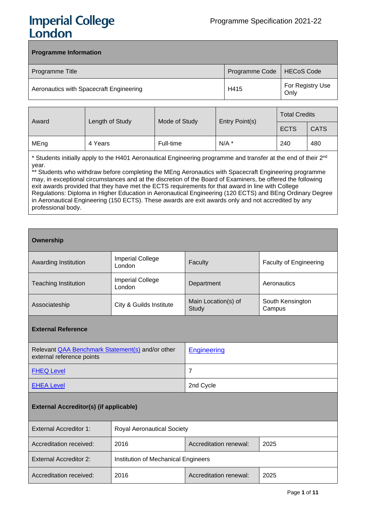# **Imperial College** London

# **Programme Information**

| Programme Title                         | Programme Code   HECoS Code |                          |
|-----------------------------------------|-----------------------------|--------------------------|
| Aeronautics with Spacecraft Engineering | H415                        | For Registry Use<br>Only |

| Award | Length of Study | Mode of Study | Entry Point(s) | <b>Total Credits</b> |             |
|-------|-----------------|---------------|----------------|----------------------|-------------|
|       |                 |               |                | <b>ECTS</b>          | <b>CATS</b> |
| MEng  | 4 Years         | Full-time     | $N/A$ *        | 240                  | 480         |

\* Students initially apply to the H401 Aeronautical Engineering programme and transfer at the end of their 2<sup>nd</sup> year.

\*\* Students who withdraw before completing the MEng Aeronautics with Spacecraft Engineering programme may, in exceptional circumstances and at the discretion of the Board of Examiners, be offered the following exit awards provided that they have met the ECTS requirements for that award in line with College Regulations: Diploma in Higher Education in Aeronautical Engineering (120 ECTS) and BEng Ordinary Degree in Aeronautical Engineering (150 ECTS). These awards are exit awards only and not accredited by any professional body.

# **Ownership**

| Awarding Institution        | <b>Imperial College</b><br>London | Faculty                      | <b>Faculty of Engineering</b> |
|-----------------------------|-----------------------------------|------------------------------|-------------------------------|
| <b>Teaching Institution</b> | <b>Imperial College</b><br>London | Department                   | Aeronautics                   |
| Associateship               | City & Guilds Institute           | Main Location(s) of<br>Study | South Kensington<br>Campus    |

#### **External Reference**

| Relevant QAA Benchmark Statement(s) and/or other<br>external reference points | Engineering |
|-------------------------------------------------------------------------------|-------------|
| <b>FHEQ Level</b>                                                             |             |
| <b>EHEA Level</b>                                                             | 2nd Cycle   |

# **External Accreditor(s) (if applicable)**

| External Accreditor 1:        | <b>Royal Aeronautical Society</b>      |  |  |  |
|-------------------------------|----------------------------------------|--|--|--|
| Accreditation received:       | 2016<br>Accreditation renewal:<br>2025 |  |  |  |
| <b>External Accreditor 2:</b> | Institution of Mechanical Engineers    |  |  |  |
| Accreditation received:       | 2016<br>Accreditation renewal:<br>2025 |  |  |  |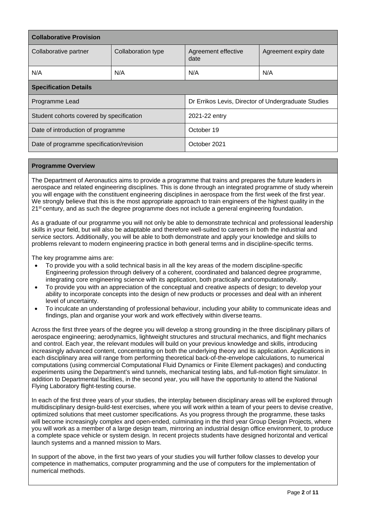| <b>Collaborative Provision</b>                           |                    |                                                     |                       |  |  |
|----------------------------------------------------------|--------------------|-----------------------------------------------------|-----------------------|--|--|
| Collaborative partner                                    | Collaboration type | Agreement effective<br>date                         | Agreement expiry date |  |  |
| N/A                                                      | N/A                | N/A                                                 | N/A                   |  |  |
| <b>Specification Details</b>                             |                    |                                                     |                       |  |  |
| Programme Lead                                           |                    | Dr Errikos Levis, Director of Undergraduate Studies |                       |  |  |
| Student cohorts covered by specification                 |                    | 2021-22 entry                                       |                       |  |  |
| October 19<br>Date of introduction of programme          |                    |                                                     |                       |  |  |
| Date of programme specification/revision<br>October 2021 |                    |                                                     |                       |  |  |

# **Programme Overview**

The Department of Aeronautics aims to provide a programme that trains and prepares the future leaders in aerospace and related engineering disciplines. This is done through an integrated programme of study wherein you will engage with the constituent engineering disciplines in aerospace from the first week of the first year. We strongly believe that this is the most appropriate approach to train engineers of the highest quality in the 21<sup>st</sup> century, and as such the degree programme does not include a general engineering foundation.

As a graduate of our programme you will not only be able to demonstrate technical and professional leadership skills in your field, but will also be adaptable and therefore well-suited to careers in both the industrial and service sectors. Additionally, you will be able to both demonstrate and apply your knowledge and skills to problems relevant to modern engineering practice in both general terms and in discipline-specific terms.

The key programme aims are:

- To provide you with a solid technical basis in all the key areas of the modern discipline-specific Engineering profession through delivery of a coherent, coordinated and balanced degree programme, integrating core engineering science with its application, both practically and computationally.
- To provide you with an appreciation of the conceptual and creative aspects of design; to develop your ability to incorporate concepts into the design of new products or processes and deal with an inherent level of uncertainty.
- To inculcate an understanding of professional behaviour, including your ability to communicate ideas and findings, plan and organise your work and work effectively within diverse teams.

Across the first three years of the degree you will develop a strong grounding in the three disciplinary pillars of aerospace engineering; aerodynamics, lightweight structures and structural mechanics, and flight mechanics and control. Each year, the relevant modules will build on your previous knowledge and skills, introducing increasingly advanced content, concentrating on both the underlying theory and its application. Applications in each disciplinary area will range from performing theoretical back-of-the-envelope calculations, to numerical computations (using commercial Computational Fluid Dynamics or Finite Element packages) and conducting experiments using the Department's wind tunnels, mechanical testing labs, and full-motion flight simulator. In addition to Departmental facilities, in the second year, you will have the opportunity to attend the National Flying Laboratory flight-testing course.

In each of the first three years of your studies, the interplay between disciplinary areas will be explored through multidisciplinary design-build-test exercises, where you will work within a team of your peers to devise creative, optimized solutions that meet customer specifications. As you progress through the programme, these tasks will become increasingly complex and open-ended, culminating in the third year Group Design Projects, where you will work as a member of a large design team, mirroring an industrial design office environment, to produce a complete space vehicle or system design. In recent projects students have designed horizontal and vertical launch systems and a manned mission to Mars.

In support of the above, in the first two years of your studies you will further follow classes to develop your competence in mathematics, computer programming and the use of computers for the implementation of numerical methods.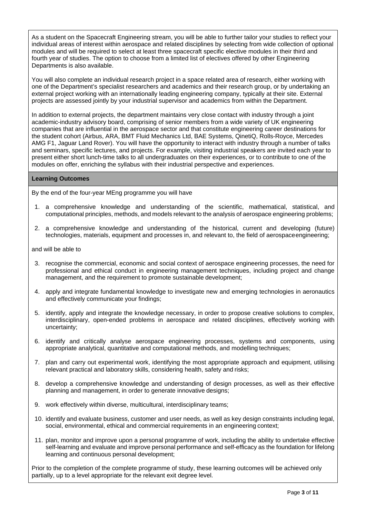As a student on the Spacecraft Engineering stream, you will be able to further tailor your studies to reflect your individual areas of interest within aerospace and related disciplines by selecting from wide collection of optional modules and will be required to select at least three spacecraft specific elective modules in their third and fourth year of studies. The option to choose from a limited list of electives offered by other Engineering Departments is also available.

You will also complete an individual research project in a space related area of research, either working with one of the Department's specialist researchers and academics and their research group, or by undertaking an external project working with an internationally leading engineering company, typically at their site. External projects are assessed jointly by your industrial supervisor and academics from within the Department.

In addition to external projects, the department maintains very close contact with industry through a joint academic-industry advisory board, comprising of senior members from a wide variety of UK engineering companies that are influential in the aerospace sector and that constitute engineering career destinations for the student cohort (Airbus, ARA, BMT Fluid Mechanics Ltd, BAE Systems, QinetiQ, Rolls-Royce, Mercedes AMG F1, Jaguar Land Rover). You will have the opportunity to interact with industry through a number of talks and seminars, specific lectures, and projects. For example, visiting industrial speakers are invited each year to present either short lunch-time talks to all undergraduates on their experiences, or to contribute to one of the modules on offer, enriching the syllabus with their industrial perspective and experiences.

# **Learning Outcomes**

By the end of the four-year MEng programme you will have

- 1. a comprehensive knowledge and understanding of the scientific, mathematical, statistical, and computational principles, methods, and models relevant to the analysis of aerospace engineering problems;
- 2. a comprehensive knowledge and understanding of the historical, current and developing (future) technologies, materials, equipment and processes in, and relevant to, the field of aerospaceengineering;

and will be able to

- 3. recognise the commercial, economic and social context of aerospace engineering processes, the need for professional and ethical conduct in engineering management techniques, including project and change management, and the requirement to promote sustainable development;
- 4. apply and integrate fundamental knowledge to investigate new and emerging technologies in aeronautics and effectively communicate your findings;
- 5. identify, apply and integrate the knowledge necessary, in order to propose creative solutions to complex, interdisciplinary, open-ended problems in aerospace and related disciplines, effectively working with uncertainty;
- 6. identify and critically analyse aerospace engineering processes, systems and components, using appropriate analytical, quantitative and computational methods, and modelling techniques;
- 7. plan and carry out experimental work, identifying the most appropriate approach and equipment, utilising relevant practical and laboratory skills, considering health, safety and risks;
- 8. develop a comprehensive knowledge and understanding of design processes, as well as their effective planning and management, in order to generate innovative designs;
- 9. work effectively within diverse, multicultural, interdisciplinary teams;
- 10. identify and evaluate business, customer and user needs, as well as key design constraints including legal, social, environmental, ethical and commercial requirements in an engineering context;
- 11. plan, monitor and improve upon a personal programme of work, including the ability to undertake effective self-learning and evaluate and improve personal performance and self-efficacy as the foundation for lifelong learning and continuous personal development;

Prior to the completion of the complete programme of study, these learning outcomes will be achieved only partially, up to a level appropriate for the relevant exit degree level.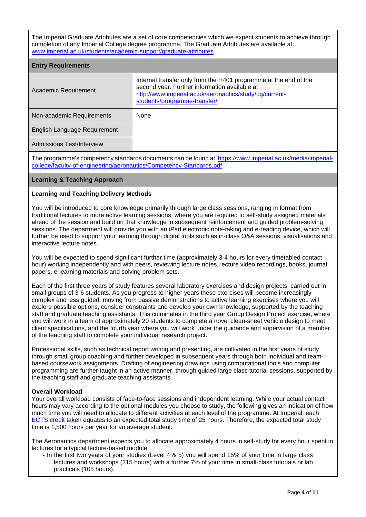The Imperial Graduate Attributes are a set of core competencies which we expect students to achieve through completion of any Imperial College degree programme. The Graduate Attributes are available at: [www.imperial.ac.uk/students/academic-support/graduate-attributes](http://www.imperial.ac.uk/students/academic-support/graduate-attributes)

| <b>Entry Requirements</b>    |                                                                                                                                                                                                              |
|------------------------------|--------------------------------------------------------------------------------------------------------------------------------------------------------------------------------------------------------------|
| Academic Requirement         | Internal transfer only from the H401 programme at the end of the<br>second year. Further information available at<br>http://www.imperial.ac.uk/aeronautics/study/ug/current-<br>students/programme-transfer/ |
| Non-academic Requirements    | None                                                                                                                                                                                                         |
| English Language Requirement |                                                                                                                                                                                                              |
| Admissions Test/Interview    |                                                                                                                                                                                                              |

The programme's competency standards documents can be found at: [https://www.imperial.ac.uk/media/imperial](https://www.imperial.ac.uk/media/imperial-college/faculty-of-engineering/aeronautics/Competency-Standards.pdf)[college/faculty-of-engineering/aeronautics/Competency-Standards.pdf](https://www.imperial.ac.uk/media/imperial-college/faculty-of-engineering/aeronautics/Competency-Standards.pdf)

# **Learning & Teaching Approach**

#### **Learning and Teaching Delivery Methods**

You will be introduced to core knowledge primarily through large class sessions, ranging in format from traditional lectures to more active learning sessions, where you are required to self-study assigned materials ahead of the session and build on that knowledge in subsequent reinforcement and guided problem-solving sessions. The department will provide you with an iPad electronic note-taking and e-reading device, which will further be used to support your learning through digital tools such as in-class Q&A sessions, visualisations and interactive lecture notes.

You will be expected to spend significant further time (approximately 3-4 hours for every timetabled contact hour) working independently and with peers, reviewing lecture notes, lecture video recordings, books, journal papers, e-learning materials and solving problem sets.

Each of the first three years of study features several laboratory exercises and design projects, carried out in small groups of 3-6 students. As you progress to higher years these exercises will become increasingly complex and less guided, moving from passive demonstrations to active learning exercises where you will explore possible options, consider constraints and develop your own knowledge, supported by the teaching staff and graduate teaching assistants. This culminates in the third year Group Design Project exercise, where you will work in a team of approximately 20 students to complete a novel clean-sheet vehicle design to meet client specifications, and the fourth year where you will work under the guidance and supervision of a member of the teaching staff to complete your individual research project.

Professional skills, such as technical report writing and presenting, are cultivated in the first years of study through small group coaching and further developed in subsequent years through both individual and teambased coursework assignments. Drafting of engineering drawings using computational tools and computer programming are further taught in an active manner, through guided large class tutorial sessions, supported by the teaching staff and graduate teaching assistants.

#### **Overall Workload**

Your overall workload consists of face-to-face sessions and independent learning. While your actual contact hours may vary according to the optional modules you choose to study, the following gives an indication of how much time you will need to allocate to different activities at each level of the programme. At Imperial, each [ECTS credit](https://www.imperial.ac.uk/study/ug/apply/our-degrees/) taken equates to an expected total study time of 25 hours. Therefore, the expected total study time is 1,500 hours per year for an average student.

The Aeronautics department expects you to allocate approximately 4 hours in self-study for every hour spent in lectures for a typical lecture-based module.

- In the first two years of your studies (Level 4 & 5) you will spend 15% of your time in large class lectures and workshops (215 hours) with a further 7% of your time in small-class tutorials or lab practicals (105 hours).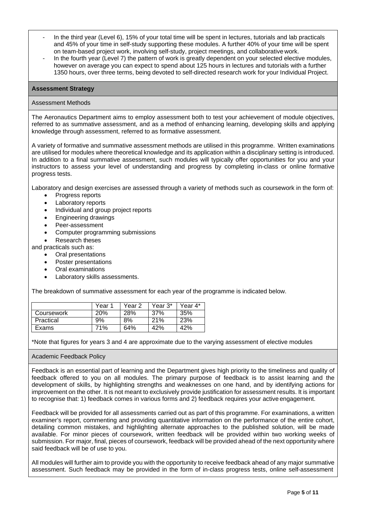- In the third year (Level 6), 15% of your total time will be spent in lectures, tutorials and lab practicals and 45% of your time in self-study supporting these modules. A further 40% of your time will be spent on team-based project work, involving self-study, project meetings, and collaborative work.
- In the fourth year (Level 7) the pattern of work is greatly dependent on your selected elective modules, however on average you can expect to spend about 125 hours in lectures and tutorials with a further 1350 hours, over three terms, being devoted to self-directed research work for your Individual Project.

# **Assessment Strategy**

#### Assessment Methods

The Aeronautics Department aims to employ assessment both to test your achievement of module objectives, referred to as summative assessment, and as a method of enhancing learning, developing skills and applying knowledge through assessment, referred to as formative assessment.

A variety of formative and summative assessment methods are utilised in this programme. Written examinations are utilised for modules where theoretical knowledge and its application within a disciplinary setting is introduced. In addition to a final summative assessment, such modules will typically offer opportunities for you and your instructors to assess your level of understanding and progress by completing in-class or online formative progress tests.

Laboratory and design exercises are assessed through a variety of methods such as coursework in the form of:

- Progress reports
- Laboratory reports
- Individual and group project reports
- Engineering drawings
- Peer-assessment
- Computer programming submissions
- Research theses

and practicals such as:

- Oral presentations
- Poster presentations
- Oral examinations
- Laboratory skills assessments.

The breakdown of summative assessment for each year of the programme is indicated below.

|            | Year 1     | Year 2 | Year 3* | Year 4* |
|------------|------------|--------|---------|---------|
| Coursework | <b>20%</b> | 28%    | 37%     | 35%     |
| Practical  | 9%         | 8%     | 21%     | 23%     |
| Exams      | 71%        | 64%    | 42%     | 42%     |

\*Note that figures for years 3 and 4 are approximate due to the varying assessment of elective modules

#### Academic Feedback Policy

Feedback is an essential part of learning and the Department gives high priority to the timeliness and quality of feedback offered to you on all modules. The primary purpose of feedback is to assist learning and the development of skills, by highlighting strengths and weaknesses on one hand, and by identifying actions for improvement on the other. It is not meant to exclusively provide justification for assessment results. It is important to recognise that: 1) feedback comes in various forms and 2) feedback requires your active engagement.

Feedback will be provided for all assessments carried out as part of this programme. For examinations, a written examiner's report, commenting and providing quantitative information on the performance of the entire cohort, detailing common mistakes, and highlighting alternate approaches to the published solution, will be made available. For minor pieces of coursework, written feedback will be provided within two working weeks of submission. For major, final, pieces of coursework, feedback will be provided ahead of the next opportunity where said feedback will be of use to you.

All modules will further aim to provide you with the opportunity to receive feedback ahead of any major summative assessment. Such feedback may be provided in the form of in-class progress tests, online self-assessment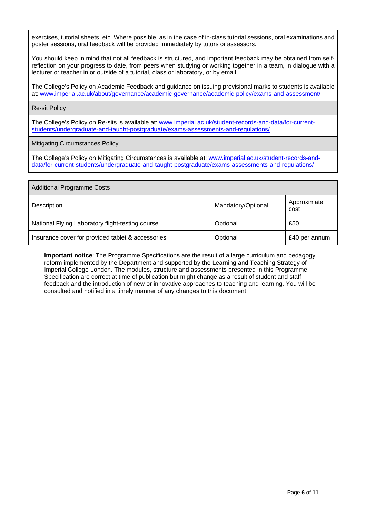exercises, tutorial sheets, etc. Where possible, as in the case of in-class tutorial sessions, oral examinations and poster sessions, oral feedback will be provided immediately by tutors or assessors.

You should keep in mind that not all feedback is structured, and important feedback may be obtained from selfreflection on your progress to date, from peers when studying or working together in a team, in dialogue with a lecturer or teacher in or outside of a tutorial, class or laboratory, or by email.

The College's Policy on Academic Feedback and guidance on issuing provisional marks to students is available at: [www.imperial.ac.uk/about/governance/academic-governance/academic-policy/exams-and-assessment/](http://www.imperial.ac.uk/about/governance/academic-governance/academic-policy/exams-and-assessment/)

#### Re-sit Policy

The College's Policy on Re-sits is available at: [www.imperial.ac.uk/student-records-and-data/for-current](http://www.imperial.ac.uk/student-records-and-data/for-current-students/undergraduate-and-taught-postgraduate/exams-assessments-and-regulations/)[students/undergraduate-and-taught-postgraduate/exams-assessments-and-regulations/](http://www.imperial.ac.uk/student-records-and-data/for-current-students/undergraduate-and-taught-postgraduate/exams-assessments-and-regulations/)

# Mitigating Circumstances Policy

The College's Policy on Mitigating Circumstances is available at: [www.imperial.ac.uk/student-records-and](http://www.imperial.ac.uk/student-records-and-data/for-current-students/undergraduate-and-taught-postgraduate/exams-assessments-and-regulations/)[data/for-current-students/undergraduate-and-taught-postgraduate/exams-assessments-and-regulations/](http://www.imperial.ac.uk/student-records-and-data/for-current-students/undergraduate-and-taught-postgraduate/exams-assessments-and-regulations/)

| <b>Additional Programme Costs</b>                 |                    |                     |  |  |
|---------------------------------------------------|--------------------|---------------------|--|--|
| Description                                       | Mandatory/Optional | Approximate<br>cost |  |  |
| National Flying Laboratory flight-testing course  | Optional           | £50                 |  |  |
| Insurance cover for provided tablet & accessories | Optional           | £40 per annum       |  |  |

**Important notice**: The Programme Specifications are the result of a large curriculum and pedagogy reform implemented by the Department and supported by the Learning and Teaching Strategy of Imperial College London. The modules, structure and assessments presented in this Programme Specification are correct at time of publication but might change as a result of student and staff feedback and the introduction of new or innovative approaches to teaching and learning. You will be consulted and notified in a timely manner of any changes to this document.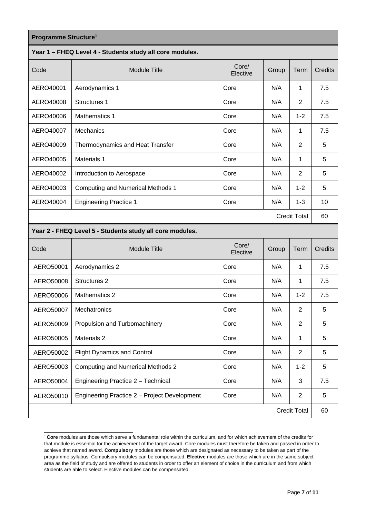| Programme Structure <sup>1</sup> |                                                          |                   |       |                     |         |
|----------------------------------|----------------------------------------------------------|-------------------|-------|---------------------|---------|
|                                  | Year 1 - FHEQ Level 4 - Students study all core modules. |                   |       |                     |         |
| Code                             | <b>Module Title</b>                                      | Core/<br>Elective | Group | Term                | Credits |
| AERO40001                        | Aerodynamics 1                                           | Core              | N/A   | 1                   | 7.5     |
| AERO40008                        | <b>Structures 1</b>                                      | Core              | N/A   | $\overline{2}$      | 7.5     |
| AERO40006                        | <b>Mathematics 1</b>                                     | Core              | N/A   | $1 - 2$             | 7.5     |
| AERO40007                        | Mechanics                                                | Core              | N/A   | 1                   | 7.5     |
| AERO40009                        | Thermodynamics and Heat Transfer                         | Core              | N/A   | 2                   | 5       |
| AERO40005                        | Materials 1                                              | Core              | N/A   | 1                   | 5       |
| AERO40002                        | Introduction to Aerospace                                | Core              | N/A   | 2                   | 5       |
| AERO40003                        | <b>Computing and Numerical Methods 1</b>                 | Core              | N/A   | $1 - 2$             | 5       |
| AERO40004                        | <b>Engineering Practice 1</b>                            | Core              | N/A   | $1 - 3$             | 10      |
|                                  |                                                          |                   |       | <b>Credit Total</b> | 60      |
|                                  | Year 2 - FHEQ Level 5 - Students study all core modules. |                   |       |                     |         |
| Code                             | <b>Module Title</b>                                      | Core/<br>Elective | Group | Term                | Credits |
| AERO50001                        | Aerodynamics 2                                           | Core              | N/A   | 1                   | 7.5     |
| AERO50008                        | Structures 2                                             | Core              | N/A   | 1                   | 7.5     |
| AERO50006                        | Mathematics 2                                            | Core              | N/A   | $1 - 2$             | 7.5     |
| AERO50007                        | Mechatronics                                             | Core              | N/A   | $\overline{2}$      | 5       |
| AERO50009                        | Propulsion and Turbomachinery                            | Core              | N/A   | $\overline{2}$      | 5       |
| AERO50005                        | Materials 2                                              | Core              | N/A   | $\mathbf{1}$        | 5       |
| AERO50002                        | <b>Flight Dynamics and Control</b>                       | Core              | N/A   | $\overline{2}$      | 5       |
| AERO50003                        | <b>Computing and Numerical Methods 2</b>                 | Core              | N/A   | $1 - 2$             | 5       |
| AERO50004                        | Engineering Practice 2 - Technical                       | Core              | N/A   | 3                   | 7.5     |
| AERO50010                        | Engineering Practice 2 - Project Development             | Core              | N/A   | $\overline{2}$      | 5       |
|                                  |                                                          |                   |       | <b>Credit Total</b> | 60      |

<span id="page-6-0"></span><sup>1</sup>**Core** modules are those which serve a fundamental role within the curriculum, and for which achievement of the credits for that module is essential for the achievement of the target award. Core modules must therefore be taken and passed in order to achieve that named award. **Compulsory** modules are those which are designated as necessary to be taken as part of the programme syllabus. Compulsory modules can be compensated. **Elective** modules are those which are in the same subject area as the field of study and are offered to students in order to offer an element of choice in the curriculum and from which students are able to select. Elective modules can be compensated.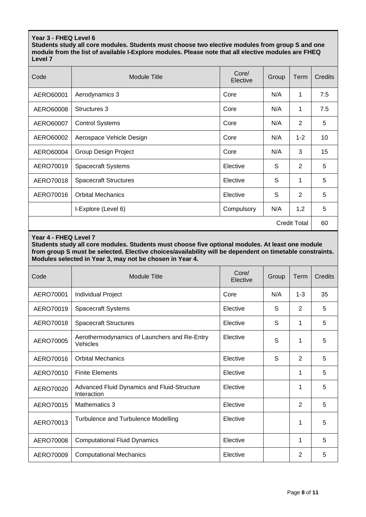# **Year 3 - FHEQ Level 6**

**Students study all core modules. Students must choose two elective modules from group S and one module from the list of available I-Explore modules. Please note that all elective modules are FHEQ Level 7**

| Code      | <b>Module Title</b>          | Core/<br>Elective | Group | Term                | Credits |
|-----------|------------------------------|-------------------|-------|---------------------|---------|
| AERO60001 | Aerodynamics 3               | Core              | N/A   | 1                   | 7.5     |
| AERO60008 | Structures 3                 | Core              | N/A   | 1                   | 7.5     |
| AERO60007 | <b>Control Systems</b>       | Core              | N/A   | 2                   | 5       |
| AERO60002 | Aerospace Vehicle Design     | Core              | N/A   | $1 - 2$             | 10      |
| AERO60004 | Group Design Project         | Core              | N/A   | 3                   | 15      |
| AERO70019 | <b>Spacecraft Systems</b>    | Elective          | S     | 2                   | 5       |
| AERO70018 | <b>Spacecraft Structures</b> | Elective          | S     | 1                   | 5       |
| AERO70016 | <b>Orbital Mechanics</b>     | Elective          | S     | $\overline{2}$      | 5       |
|           | I-Explore (Level 6)          | Compulsory        | N/A   | 1,2                 | 5       |
|           |                              |                   |       | <b>Credit Total</b> | 60      |

#### **Year 4 - FHEQ Level 7**

**Students study all core modules. Students must choose five optional modules. At least one module from group S must be selected. Elective choices/availability will be dependent on timetable constraints. Modules selected in Year 3, may not be chosen in Year 4.**

| Code      | <b>Module Title</b>                                        | Core/<br>Elective | Group | Term    | Credits |
|-----------|------------------------------------------------------------|-------------------|-------|---------|---------|
| AERO70001 | <b>Individual Project</b>                                  | Core              | N/A   | $1 - 3$ | 35      |
| AERO70019 | <b>Spacecraft Systems</b>                                  | Elective          | S     | 2       | 5       |
| AERO70018 | <b>Spacecraft Structures</b>                               | Elective          | S     | 1       | 5       |
| AERO70005 | Aerothermodynamics of Launchers and Re-Entry<br>Vehicles   | Elective          | S     | 1       | 5       |
| AERO70016 | <b>Orbital Mechanics</b>                                   | Elective          | S     | 2       | 5       |
| AERO70010 | <b>Finite Elements</b>                                     | Elective          |       | 1       | 5       |
| AERO70020 | Advanced Fluid Dynamics and Fluid-Structure<br>Interaction | Elective          |       | 1       | 5       |
| AERO70015 | Mathematics 3                                              | Elective          |       | 2       | 5       |
| AERO70013 | Turbulence and Turbulence Modelling                        | Elective          |       | 1       | 5       |
| AERO70008 | <b>Computational Fluid Dynamics</b>                        | Elective          |       | 1       | 5       |
| AERO70009 | <b>Computational Mechanics</b>                             | Elective          |       | 2       | 5       |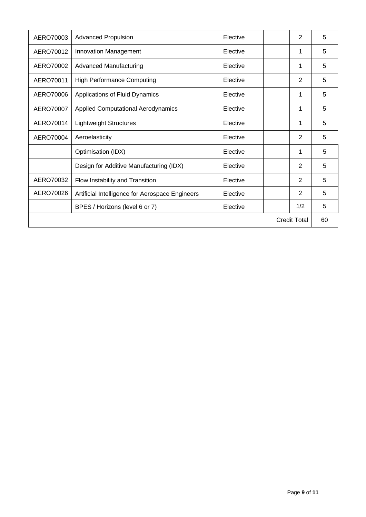| AERO70003           | <b>Advanced Propulsion</b>                      | Elective |  | 2   | 5 |
|---------------------|-------------------------------------------------|----------|--|-----|---|
| AERO70012           | Innovation Management                           | Elective |  | 1   | 5 |
| AERO70002           | <b>Advanced Manufacturing</b>                   | Elective |  | 1   | 5 |
| AERO70011           | <b>High Performance Computing</b>               | Elective |  | 2   | 5 |
| AERO70006           | Applications of Fluid Dynamics                  | Elective |  | 1   | 5 |
| AERO70007           | Applied Computational Aerodynamics              | Elective |  | 1   | 5 |
| AERO70014           | <b>Lightweight Structures</b>                   | Elective |  | 1   | 5 |
| AERO70004           | Aeroelasticity                                  | Elective |  | 2   | 5 |
|                     | Optimisation (IDX)                              | Elective |  | 1   | 5 |
|                     | Design for Additive Manufacturing (IDX)         | Elective |  | 2   | 5 |
| AERO70032           | Flow Instability and Transition                 | Elective |  | 2   | 5 |
| AERO70026           | Artificial Intelligence for Aerospace Engineers | Elective |  | 2   | 5 |
|                     | BPES / Horizons (level 6 or 7)                  | Elective |  | 1/2 | 5 |
| <b>Credit Total</b> |                                                 |          |  |     |   |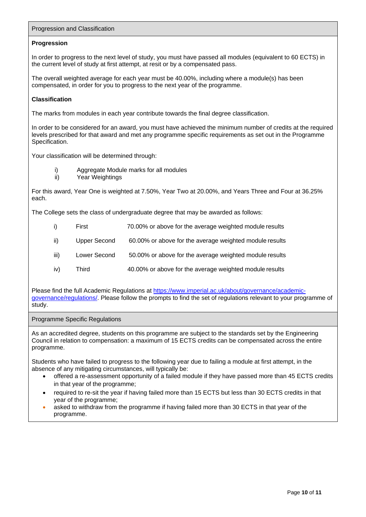# Progression and Classification

## **Progression**

In order to progress to the next level of study, you must have passed all modules (equivalent to 60 ECTS) in the current level of study at first attempt, at resit or by a compensated pass.

The overall weighted average for each year must be 40.00%, including where a module(s) has been compensated, in order for you to progress to the next year of the programme.

# **Classification**

The marks from modules in each year contribute towards the final degree classification.

In order to be considered for an award, you must have achieved the minimum number of credits at the required levels prescribed for that award and met any programme specific requirements as set out in the Programme Specification.

Your classification will be determined through:

- i) Aggregate Module marks for all modules
- ii) Year Weightings

For this award, Year One is weighted at 7.50%, Year Two at 20.00%, and Years Three and Four at 36.25% each.

The College sets the class of undergraduate degree that may be awarded as follows:

- i) First 70.00% or above for the average weighted module results
- ii) Upper Second 60.00% or above for the average weighted module results
- iii) Lower Second 50.00% or above for the average weighted module results
- iv) Third 40.00% or above for the average weighted module results

Please find the full Academic Regulations at [https://www.imperial.ac.uk/about/governance/academic](https://www.imperial.ac.uk/about/governance/academic-governance/regulations/)[governance/regulations/. P](https://www.imperial.ac.uk/about/governance/academic-governance/regulations/)lease follow the prompts to find the set of regulations relevant to your programme of study.

Programme Specific Regulations

As an accredited degree, students on this programme are subject to the standards set by the Engineering Council in relation to compensation: a maximum of 15 ECTS credits can be compensated across the entire programme.

Students who have failed to progress to the following year due to failing a module at first attempt, in the absence of any mitigating circumstances, will typically be:

- offered a re-assessment opportunity of a failed module if they have passed more than 45 ECTS credits in that year of the programme;
- required to re-sit the year if having failed more than 15 ECTS but less than 30 ECTS credits in that year of the programme;
- asked to withdraw from the programme if having failed more than 30 ECTS in that year of the programme.